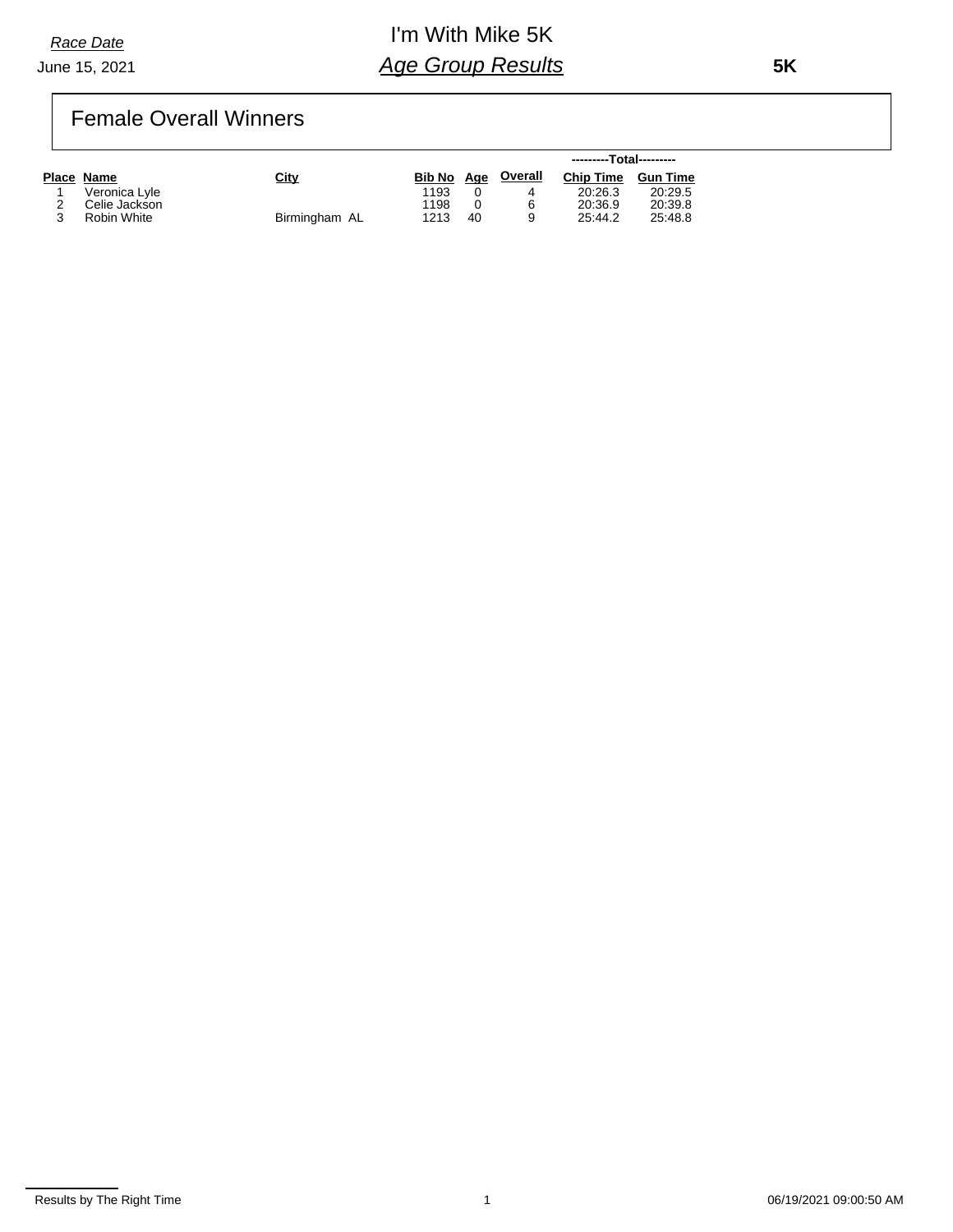*Race Date*

#### June 15, 2021

## I'm With Mike 5K *Age Group Results*

 **5K**

## Female Overall Winners

|               |               |            |    |                | ---------Total--------- |                 |  |
|---------------|---------------|------------|----|----------------|-------------------------|-----------------|--|
| Place Name    | City          | Bib No Age |    | <b>Overall</b> | <b>Chip Time</b>        | <b>Gun Time</b> |  |
| Veronica Lyle |               | 1193       |    |                | 20:26.3                 | 20:29.5         |  |
| Celie Jackson |               | 1198       |    | 6              | 20:36.9                 | 20:39.8         |  |
| Robin White   | Birmingham AL | 1213       | 40 | a              | 25:44.2                 | 25:48.8         |  |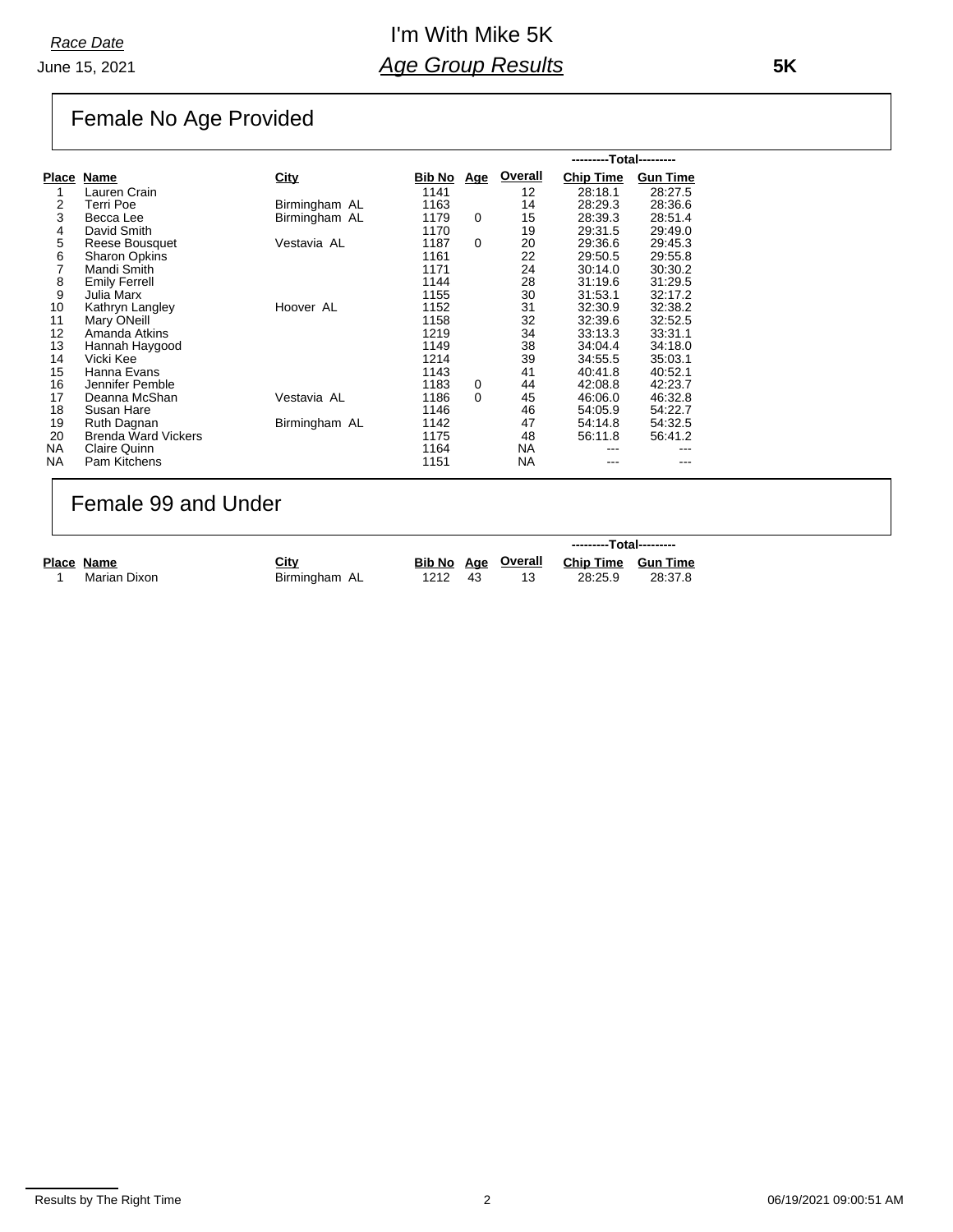### I'm With Mike 5K *Age Group Results*

 **5K**

# Female No Age Provided

|              |                            |               |        |            |         | ---------Total--------- |                 |  |
|--------------|----------------------------|---------------|--------|------------|---------|-------------------------|-----------------|--|
| <b>Place</b> | Name                       | <b>City</b>   | Bib No | <u>Age</u> | Overall | <b>Chip Time</b>        | <b>Gun Time</b> |  |
| 1            | Lauren Crain               |               | 1141   |            | 12      | 28:18.1                 | 28:27.5         |  |
| 2            | Terri Poe                  | Birmingham AL | 1163   |            | 14      | 28:29.3                 | 28:36.6         |  |
| 3            | Becca Lee                  | Birmingham AL | 1179   | $\Omega$   | 15      | 28:39.3                 | 28:51.4         |  |
| 4            | David Smith                |               | 1170   |            | 19      | 29:31.5                 | 29:49.0         |  |
| 5            | Reese Bousquet             | Vestavia AL   | 1187   | $\Omega$   | 20      | 29:36.6                 | 29:45.3         |  |
| 6            | <b>Sharon Opkins</b>       |               | 1161   |            | 22      | 29:50.5                 | 29:55.8         |  |
| 7            | Mandi Smith                |               | 1171   |            | 24      | 30:14.0                 | 30:30.2         |  |
| 8            | <b>Emily Ferrell</b>       |               | 1144   |            | 28      | 31:19.6                 | 31:29.5         |  |
| 9            | Julia Marx                 |               | 1155   |            | 30      | 31:53.1                 | 32:17.2         |  |
| 10           | Kathryn Langley            | Hoover AL     | 1152   |            | 31      | 32:30.9                 | 32:38.2         |  |
| 11           | Mary ONeill                |               | 1158   |            | 32      | 32:39.6                 | 32:52.5         |  |
| 12           | Amanda Atkins              |               | 1219   |            | 34      | 33:13.3                 | 33:31.1         |  |
| 13           | Hannah Haygood             |               | 1149   |            | 38      | 34:04.4                 | 34:18.0         |  |
| 14           | Vicki Kee                  |               | 1214   |            | 39      | 34:55.5                 | 35:03.1         |  |
| 15           | Hanna Evans                |               | 1143   |            | 41      | 40:41.8                 | 40:52.1         |  |
| 16           | Jennifer Pemble            |               | 1183   | 0          | 44      | 42:08.8                 | 42:23.7         |  |
| 17           | Deanna McShan              | Vestavia AL   | 1186   | $\Omega$   | 45      | 46.06.0                 | 46:32.8         |  |
| 18           | Susan Hare                 |               | 1146   |            | 46      | 54:05.9                 | 54:22.7         |  |
| 19           | Ruth Dagnan                | Birmingham AL | 1142   |            | 47      | 54:14.8                 | 54:32.5         |  |
| 20           | <b>Brenda Ward Vickers</b> |               | 1175   |            | 48      | 56:11.8                 | 56:41.2         |  |
| <b>NA</b>    | Claire Quinn               |               | 1164   |            | NA.     |                         |                 |  |
| <b>NA</b>    | Pam Kitchens               |               | 1151   |            | NA      |                         |                 |  |

### Female 99 and Under

|              |               |      |     |                    | ---------Total---------   |         |  |
|--------------|---------------|------|-----|--------------------|---------------------------|---------|--|
| Place Name   | City          |      |     | Bib No Age Overall | <b>Chip Time Gun Time</b> |         |  |
| Marian Dixon | Birmingham AL | 1212 | -43 |                    | 28:25.9                   | 28:37.8 |  |

Results by The Right Time 2 06/19/2021 09:00:51 AM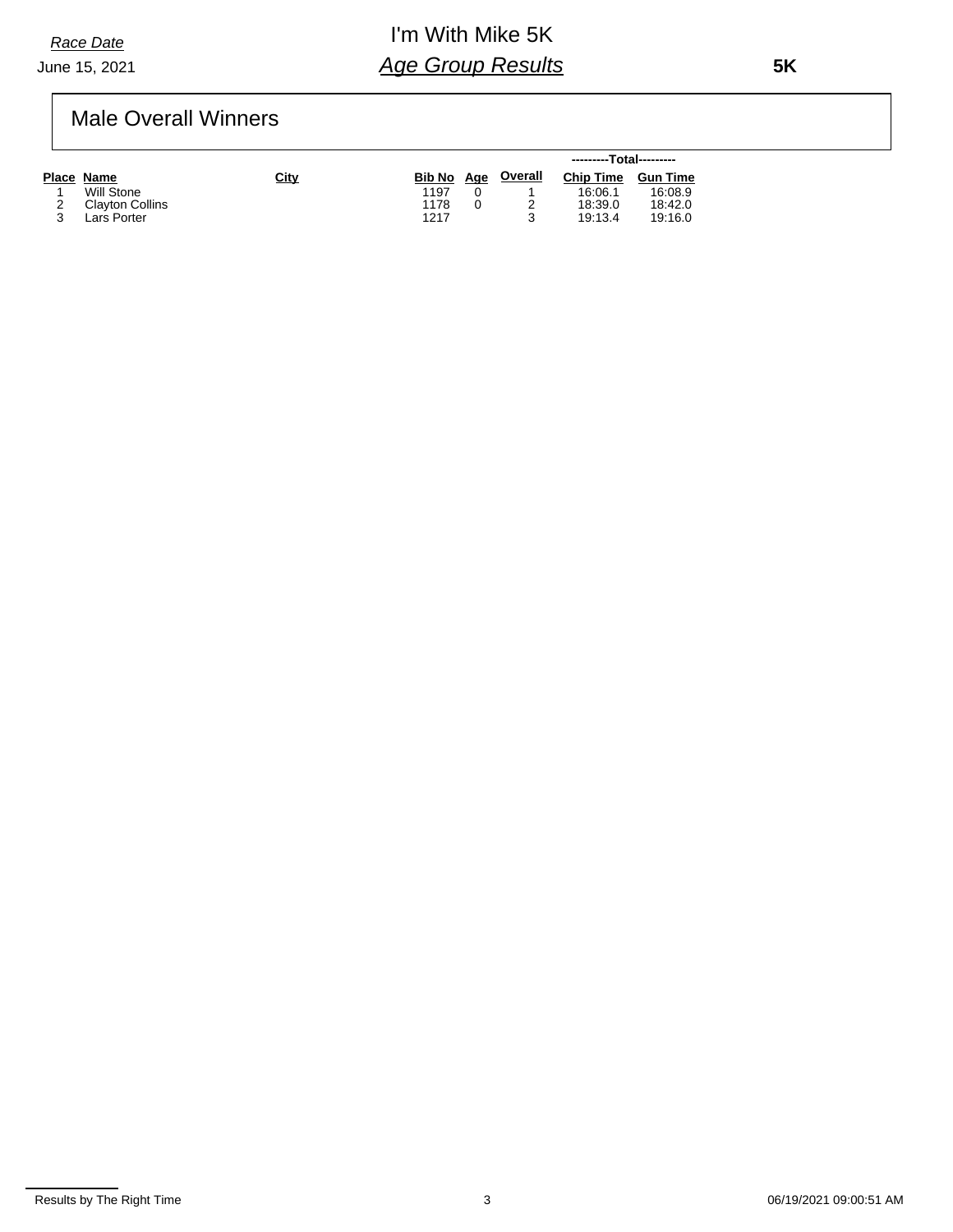*Race Date*

#### June 15, 2021

## I'm With Mike 5K *Age Group Results*

 **5K**

### Male Overall Winners

|                 |             |            |                | ---------Total--------- |                 |  |
|-----------------|-------------|------------|----------------|-------------------------|-----------------|--|
| Place Name      | <b>City</b> | Bib No Age | <u>Overall</u> | <b>Chip Time</b>        | <b>Gun Time</b> |  |
| Will Stone      |             | 1197       |                | 16:06.1                 | 16:08.9         |  |
| Clayton Collins |             | 1178       |                | 18:39.0                 | 18:42.0         |  |
| Lars Porter     |             | 1217       |                | 19:13.4                 | 19:16.0         |  |